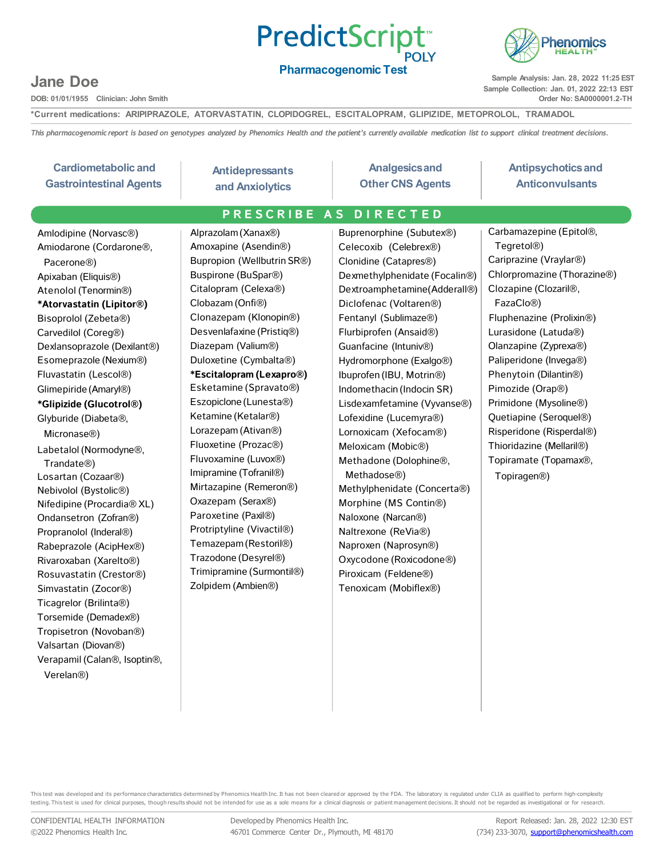### PredictScript<sup>®</sup> **POLY**



**Pharmacogenomic Test**

**Sample Analysis: Jan. 28, 2022 11:25 EST Sample Collection: Jan. 01, 2022 22:13 EST Order No: SA0000001.2-TH**

**Jane Doe**

**DOB: 01/01/1955 Clinician: John Smith**

**\*Current medications: ARIPIPRAZOLE, ATORVASTATIN, CLOPIDOGREL, ESCITALOPRAM, GLIPIZIDE, METOPROLOL, TRAMADOL**

This pharmacogenomic report is based on genotypes analyzed by Phenomics Health and the patient's currently available medication list to support clinical treatment decisions.

| <b>Cardiometabolic and</b><br><b>Gastrointestinal Agents</b>                                                                                                                                                                                                                                                                                                                                                                                                                                                                                                                                                                                                                                                                                                                                                                                                                                                                           | <b>Antidepressants</b><br>and Anxiolytics                                                                                                                                                                                                                                                                                                                                                                                                                                                                                                                                                                                                                                                                 | <b>Analgesics and</b><br><b>Other CNS Agents</b>                                                                                                                                                                                                                                                                                                                                                                                                                                                                                                                                                                                                                                                                          | <b>Antipsychotics and</b><br><b>Anticonvulsants</b>                                                                                                                                                                                                                                                                                                                                                                                                                                                                                                 |
|----------------------------------------------------------------------------------------------------------------------------------------------------------------------------------------------------------------------------------------------------------------------------------------------------------------------------------------------------------------------------------------------------------------------------------------------------------------------------------------------------------------------------------------------------------------------------------------------------------------------------------------------------------------------------------------------------------------------------------------------------------------------------------------------------------------------------------------------------------------------------------------------------------------------------------------|-----------------------------------------------------------------------------------------------------------------------------------------------------------------------------------------------------------------------------------------------------------------------------------------------------------------------------------------------------------------------------------------------------------------------------------------------------------------------------------------------------------------------------------------------------------------------------------------------------------------------------------------------------------------------------------------------------------|---------------------------------------------------------------------------------------------------------------------------------------------------------------------------------------------------------------------------------------------------------------------------------------------------------------------------------------------------------------------------------------------------------------------------------------------------------------------------------------------------------------------------------------------------------------------------------------------------------------------------------------------------------------------------------------------------------------------------|-----------------------------------------------------------------------------------------------------------------------------------------------------------------------------------------------------------------------------------------------------------------------------------------------------------------------------------------------------------------------------------------------------------------------------------------------------------------------------------------------------------------------------------------------------|
|                                                                                                                                                                                                                                                                                                                                                                                                                                                                                                                                                                                                                                                                                                                                                                                                                                                                                                                                        | PRESCRIBE AS DIRECTED                                                                                                                                                                                                                                                                                                                                                                                                                                                                                                                                                                                                                                                                                     |                                                                                                                                                                                                                                                                                                                                                                                                                                                                                                                                                                                                                                                                                                                           |                                                                                                                                                                                                                                                                                                                                                                                                                                                                                                                                                     |
| Amlodipine (Norvasc®)<br>Amiodarone (Cordarone <sup>®</sup> ,<br>Pacerone <sup>®</sup> )<br>Apixaban (Eliquis <sup>®</sup> )<br>Atenolol (Tenormin®)<br>*Atorvastatin (Lipitor®)<br>Bisoprolol (Zebeta®)<br>Carvedilol (Coreg®)<br>Dexlansoprazole (Dexilant®)<br>Esomeprazole (Nexium®)<br>Fluvastatin (Lescol®)<br>Glimepiride (Amaryl®)<br>*Glipizide (Glucotrol®)<br>Glyburide (Diabeta®,<br>Micronase <sup>®</sup> )<br>Labetalol (Normodyne®,<br>Trandate <sup>®</sup> )<br>Losartan (Cozaar <sup>®</sup> )<br>Nebivolol (Bystolic®)<br>Nifedipine (Procardia® XL)<br>Ondansetron (Zofran®)<br>Propranolol (Inderal®)<br>Rabeprazole (AcipHex®)<br>Rivaroxaban (Xarelto®)<br>Rosuvastatin (Crestor®)<br>Simvastatin (Zocor <sup>®</sup> )<br>Ticagrelor (Brilinta®)<br>Torsemide (Demadex®)<br>Tropisetron (Novoban®)<br>Valsartan (Diovan®)<br>Verapamil (Calan <sup>®</sup> , Isoptin <sup>®</sup> ,<br>Verelan <sup>®</sup> ) | Alprazolam (Xanax®)<br>Amoxapine (Asendin <sup>®</sup> )<br>Bupropion (Wellbutrin SR®)<br>Buspirone (BuSpar®)<br>Citalopram (Celexa®)<br>Clobazam (Onfi®)<br>Clonazepam (Klonopin®)<br>Desvenlafaxine (Pristiq®)<br>Diazepam (Valium <sup>®</sup> )<br>Duloxetine (Cymbalta®)<br>*Escitalopram (Lexapro®)<br>Esketamine (Spravato®)<br>Eszopiclone (Lunesta®)<br>Ketamine (Ketalar <sup>®</sup> )<br>Lorazepam (Ativan®)<br>Fluoxetine (Prozac®)<br>Fluvoxamine (Luvox®)<br>Imipramine (Tofranil®)<br>Mirtazapine (Remeron®)<br>Oxazepam (Serax®)<br>Paroxetine (Paxil®)<br>Protriptyline (Vivactil®)<br>Temazepam (Restoril®)<br>Trazodone (Desyrel®)<br>Trimipramine (Surmontil®)<br>Zolpidem (Ambien®) | Buprenorphine (Subutex®)<br>Celecoxib (Celebrex®)<br>Clonidine (Catapres <sup>®</sup> )<br>Dexmethylphenidate (Focalin®)<br>Dextroamphetamine(Adderall®)<br>Diclofenac (Voltaren®)<br>Fentanyl (Sublimaze®)<br>Flurbiprofen (Ansaid®)<br>Guanfacine (Intuniv®)<br>Hydromorphone (Exalgo®)<br>Ibuprofen (IBU, Motrin®)<br>Indomethacin (Indocin SR)<br>Lisdexamfetamine (Vyvanse®)<br>Lofexidine (Lucemyra®)<br>Lornoxicam (Xefocam®)<br>Meloxicam (Mobic®)<br>Methadone (Dolophine®,<br>Methadose <sup>®</sup> )<br>Methylphenidate (Concerta®)<br>Morphine (MS Contin®)<br>Naloxone (Narcan®)<br>Naltrexone (ReVia®)<br>Naproxen (Naprosyn®)<br>Oxycodone (Roxicodone®)<br>Piroxicam (Feldene®)<br>Tenoxicam (Mobiflex®) | Carbamazepine (Epitol®,<br>Tegretol <sup>®</sup> )<br>Cariprazine (Vraylar <sup>®</sup> )<br>Chlorpromazine (Thorazine®)<br>Clozapine (Clozaril <sup>®</sup> ,<br>FazaClo <sup>®</sup> )<br>Fluphenazine (Prolixin <sup>®</sup> )<br>Lurasidone (Latuda®)<br>Olanzapine (Zyprexa®)<br>Paliperidone (Invega®)<br>Phenytoin (Dilantin®)<br>Pimozide (Orap <sup>®</sup> )<br>Primidone (Mysoline®)<br>Quetiapine (Seroquel <sup>®</sup> )<br>Risperidone (Risperdal®)<br>Thioridazine (Mellaril®)<br>Topiramate (Topamax®,<br>Topiragen <sup>®</sup> ) |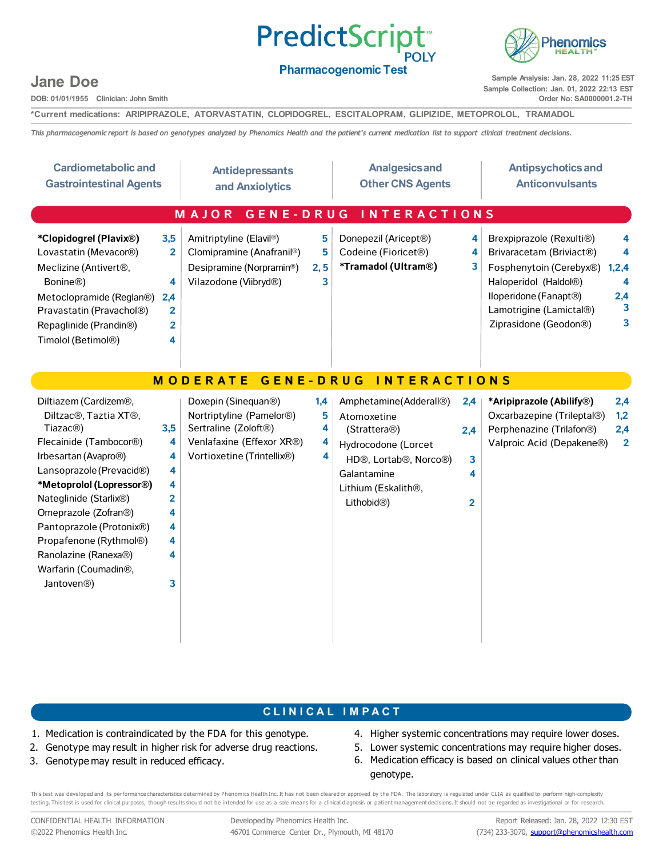## **PredictScript**



#### **Pharmacogenomic Test**

**Sample Analysis: Jan. 28, 2022 11:25 EST Sample Collection: Jan. 01, 2022 22:13 EST Order No: SA0000001.2-TH**

### **Jane Doe**

**DOB: 01/01/1955 Clinician: John Smith**

**\*Current medications: ARIPIPRAZOLE, ATORVASTATIN, CLOPIDOGREL, ESCITALOPRAM, GLIPIZIDE, METOPROLOL, TRAMADOL**

This pharmacogenomic report is based on genotypes analyzed by Phenomics Health and the patient's current medication list to support clinical treatment decisions.

| <b>Cardiometabolic and</b><br><b>Gastrointestinal Agents</b>                                                                                                                                                                                                                                                                                                                                   |                                                             | <b>Antidepressants</b><br>and Anxiolytics                                                                                                                                 |                         | <b>Analgesics and</b><br><b>Other CNS Agents</b>                                                                                                                                    |                                        | <b>Antipsychotics and</b><br><b>Anticonvulsants</b>                                                                                                                                                                                         |
|------------------------------------------------------------------------------------------------------------------------------------------------------------------------------------------------------------------------------------------------------------------------------------------------------------------------------------------------------------------------------------------------|-------------------------------------------------------------|---------------------------------------------------------------------------------------------------------------------------------------------------------------------------|-------------------------|-------------------------------------------------------------------------------------------------------------------------------------------------------------------------------------|----------------------------------------|---------------------------------------------------------------------------------------------------------------------------------------------------------------------------------------------------------------------------------------------|
|                                                                                                                                                                                                                                                                                                                                                                                                |                                                             | MAJOR<br><b>GENE-DRUG</b>                                                                                                                                                 |                         | <b>INTERACTIONS</b>                                                                                                                                                                 |                                        |                                                                                                                                                                                                                                             |
| *Clopidogrel (Plavix®)<br>Lovastatin (Mevacor®)<br>Meclizine (Antivert <sup>®</sup> ,<br>Bonine <sup>®</sup> )<br>Metoclopramide (Reglan®)<br>Pravastatin (Pravachol®)<br>Repaglinide (Prandin <sup>®</sup> )<br>Timolol (Betimol®)                                                                                                                                                            | 3,5<br>$\mathbf{2}$<br>4<br>2,4<br>2<br>$\overline{2}$<br>4 | Amitriptyline (Elavil®)<br>Clomipramine (Anafranil®)<br>Desipramine (Norpramin <sup>®</sup> )<br>Vilazodone (Viibryd®)                                                    | 5<br>5<br>2, 5<br>3     | Donepezil (Aricept <sup>®</sup> )<br>Codeine (Fioricet <sup>®</sup> )<br>*Tramadol (Ultram®)                                                                                        | 4<br>4<br>3                            | Brexpiprazole (Rexulti®)<br>4<br>Brivaracetam (Briviact®)<br>4<br>Fosphenytoin (Cerebyx®)<br>1,2,4<br>Haloperidol (Haldol®)<br>4<br>lloperidone (Fanapt <sup>®</sup> )<br>2,4<br>3<br>Lamotrigine (Lamictal®)<br>3<br>Ziprasidone (Geodon®) |
|                                                                                                                                                                                                                                                                                                                                                                                                |                                                             | <b>GENE-DRUG</b><br><b>MODERATE</b>                                                                                                                                       |                         | <b>TERACTIONS</b><br>$\mathsf{I}$ N                                                                                                                                                 |                                        |                                                                                                                                                                                                                                             |
| Diltiazem (Cardizem®,<br>Diltzac <sup>®</sup> , Taztia XT <sup>®</sup> ,<br>Tiazac <sup>®</sup> )<br>Flecainide (Tambocor®)<br>Irbesartan (Avapro®)<br>Lansoprazole (Prevacid®)<br>*Metoprolol (Lopressor®)<br>Nateglinide (Starlix®)<br>Omeprazole (Zofran®)<br>Pantoprazole (Protonix®)<br>Propafenone (Rythmol®)<br>Ranolazine (Ranexa®)<br>Warfarin (Coumadin®,<br>Jantoven <sup>®</sup> ) | 3,5<br>4<br>4<br>4<br>4<br>2<br>4<br>4<br>4<br>4<br>3       | Doxepin (Sinequan <sup>®</sup> )<br>Nortriptyline (Pamelor <sup>®</sup> )<br>Sertraline (Zoloft <sup>®</sup> )<br>Venlafaxine (Effexor XR®)<br>Vortioxetine (Trintellix®) | 1,4<br>5<br>4<br>4<br>4 | Amphetamine(Adderall®)<br>Atomoxetine<br>(Strattera®)<br>Hydrocodone (Lorcet<br>HD®, Lortab®, Norco®)<br>Galantamine<br>Lithium (Eskalith <sup>®</sup> ,<br>Lithobid <sup>®</sup> ) | 2,4<br>2,4<br>3<br>4<br>$\overline{2}$ | 2,4<br>*Aripiprazole (Abilify®)<br>Oxcarbazepine (Trileptal®)<br>1,2<br>Perphenazine (Trilafon®)<br>2,4<br>Valproic Acid (Depakene®)<br>$\overline{\mathbf{2}}$                                                                             |

#### **C L I N I C A L I M P A C T**

- 1. Medication is contraindicated by the FDA for this genotype.
- 2. Genotype may result in higher risk for adverse drug reactions.
- 3. Genotype may result in reduced efficacy.
- 4. Higher systemic concentrations may require lower doses.
- 5. Lower systemic concentrations may require higher doses. 6. Medication efficacy is based on clinical values other than genotype.

This test was developed and its performance characteristics determined by Phenomics Health Inc. It has not been cleared or approved by the FDA. The laboratory is regulated under CLIA as qualified to perform high-complexity testing. This test is used for clinical purposes, though results should not be intended for use as a sole means for a clinical diagnosis or patient management decisions. It should not be regarded as investigational or for

CONFIDENTIAL HEALTH INFORMATION ©2022 Phenomics Health Inc.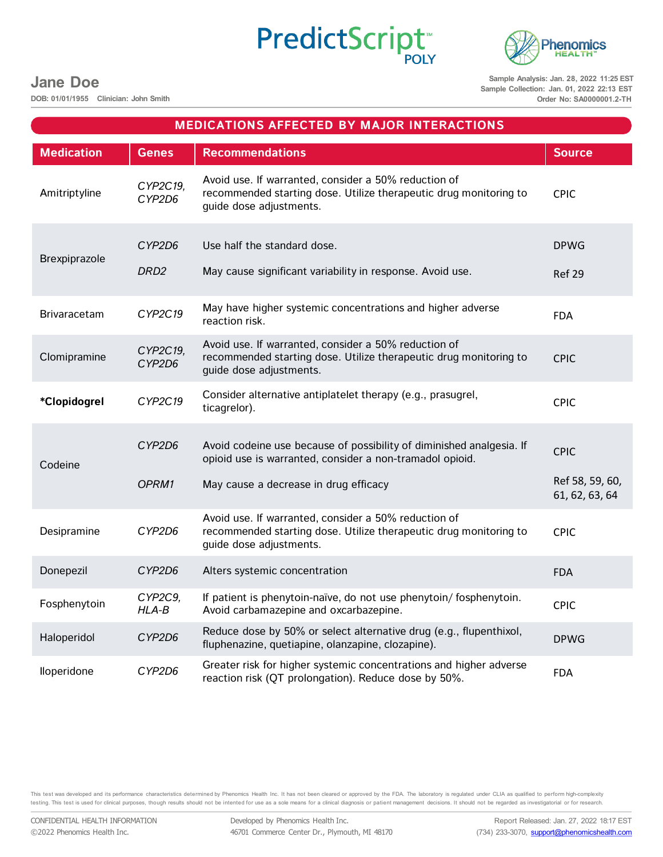# PredictScript<sup>®</sup>



**Jane Doe**

**DOB: 01/01/1955 Clinician: John Smith**

**Sample Analysis: Jan. 28, 2022 11:25 EST Sample Collection: Jan. 01, 2022 22:13 EST Order No: SA0000001.2-TH**

|                     |                            | <b>MEDICATIONS AFFECTED BY MAJOR INTERACTIONS</b>                                                                                                                         |                                                  |
|---------------------|----------------------------|---------------------------------------------------------------------------------------------------------------------------------------------------------------------------|--------------------------------------------------|
| <b>Medication</b>   | <b>Genes</b>               | <b>Recommendations</b>                                                                                                                                                    | <b>Source</b>                                    |
| Amitriptyline       | CYP2C19,<br>CYP2D6         | Avoid use. If warranted, consider a 50% reduction of<br>recommended starting dose. Utilize therapeutic drug monitoring to<br>quide dose adjustments.                      | <b>CPIC</b>                                      |
| Brexpiprazole       | CYP2D6<br>DRD <sub>2</sub> | Use half the standard dose.<br>May cause significant variability in response. Avoid use.                                                                                  | <b>DPWG</b><br>Ref 29                            |
| <b>Brivaracetam</b> | CYP2C19                    | May have higher systemic concentrations and higher adverse<br>reaction risk.                                                                                              | <b>FDA</b>                                       |
| Clomipramine        | CYP2C19,<br>CYP2D6         | Avoid use. If warranted, consider a 50% reduction of<br>recommended starting dose. Utilize therapeutic drug monitoring to<br>guide dose adjustments.                      | <b>CPIC</b>                                      |
| *Clopidogrel        | CYP2C19                    | Consider alternative antiplatelet therapy (e.g., prasugrel,<br>ticagrelor).                                                                                               | <b>CPIC</b>                                      |
| Codeine             | CYP2D6<br>OPRM1            | Avoid codeine use because of possibility of diminished analgesia. If<br>opioid use is warranted, consider a non-tramadol opioid.<br>May cause a decrease in drug efficacy | <b>CPIC</b><br>Ref 58, 59, 60,<br>61, 62, 63, 64 |
| Desipramine         | CYP2D6                     | Avoid use. If warranted, consider a 50% reduction of<br>recommended starting dose. Utilize therapeutic drug monitoring to<br>guide dose adjustments.                      | <b>CPIC</b>                                      |
| Donepezil           | CYP2D6                     | Alters systemic concentration                                                                                                                                             | <b>FDA</b>                                       |
| Fosphenytoin        | CYP2C9,<br>$HLA-B$         | If patient is phenytoin-naïve, do not use phenytoin/fosphenytoin.<br>Avoid carbamazepine and oxcarbazepine.                                                               | <b>CPIC</b>                                      |
| Haloperidol         | CYP2D6                     | Reduce dose by 50% or select alternative drug (e.g., flupenthixol,<br>fluphenazine, quetiapine, olanzapine, clozapine).                                                   | <b>DPWG</b>                                      |
| lloperidone         | CYP2D6                     | Greater risk for higher systemic concentrations and higher adverse<br>reaction risk (QT prolongation). Reduce dose by 50%.                                                | <b>FDA</b>                                       |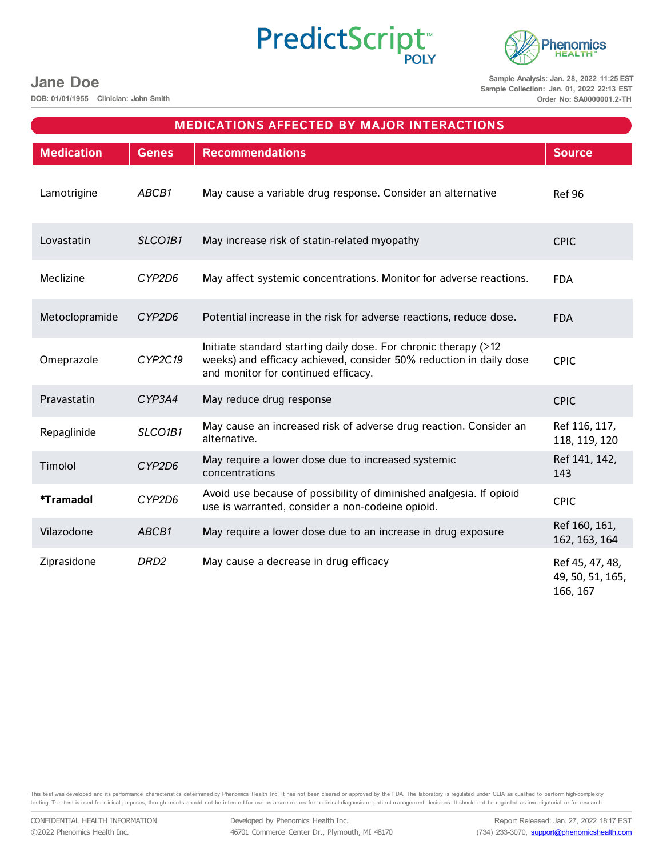# PredictScript<sup>®</sup>



**Jane Doe**

**DOB: 01/01/1955 Clinician: John Smith**

**Sample Analysis: Jan. 28, 2022 11:25 EST Sample Collection: Jan. 01, 2022 22:13 EST Order No: SA0000001.2-TH**

|                         |                                  | <b>MEDICATIONS AFFECTED BY MAJOR INTERACTIONS</b>                                                                                                                            |                                                 |
|-------------------------|----------------------------------|------------------------------------------------------------------------------------------------------------------------------------------------------------------------------|-------------------------------------------------|
| <b>Medication</b>       | <b>Genes</b>                     | <b>Recommendations</b>                                                                                                                                                       | <b>Source</b>                                   |
| Lamotrigine             | ABCB1                            | May cause a variable drug response. Consider an alternative                                                                                                                  | <b>Ref 96</b>                                   |
| Lovastatin              | SLCO <sub>1</sub> B <sub>1</sub> | May increase risk of statin-related myopathy                                                                                                                                 | <b>CPIC</b>                                     |
| Meclizine               | CYP2D6                           | May affect systemic concentrations. Monitor for adverse reactions.                                                                                                           | <b>FDA</b>                                      |
| Metoclopramide          | CYP2D6                           | Potential increase in the risk for adverse reactions, reduce dose.                                                                                                           | <b>FDA</b>                                      |
| Omeprazole              | CYP2C19                          | Initiate standard starting daily dose. For chronic therapy (>12<br>weeks) and efficacy achieved, consider 50% reduction in daily dose<br>and monitor for continued efficacy. | <b>CPIC</b>                                     |
| Pravastatin             | CYP3A4                           | May reduce drug response                                                                                                                                                     | <b>CPIC</b>                                     |
| Repaglinide             | SLCO1B1                          | May cause an increased risk of adverse drug reaction. Consider an<br>alternative.                                                                                            | Ref 116, 117,<br>118, 119, 120                  |
| Timolol                 | CYP2D6                           | May require a lower dose due to increased systemic<br>concentrations                                                                                                         | Ref 141, 142,<br>143                            |
| <i><b>*Tramadol</b></i> | CYP2D6                           | Avoid use because of possibility of diminished analgesia. If opioid<br>use is warranted, consider a non-codeine opioid.                                                      | <b>CPIC</b>                                     |
| Vilazodone              | ABCB1                            | May require a lower dose due to an increase in drug exposure                                                                                                                 | Ref 160, 161,<br>162, 163, 164                  |
| Ziprasidone             | DRD <sub>2</sub>                 | May cause a decrease in drug efficacy                                                                                                                                        | Ref 45, 47, 48,<br>49, 50, 51, 165,<br>166, 167 |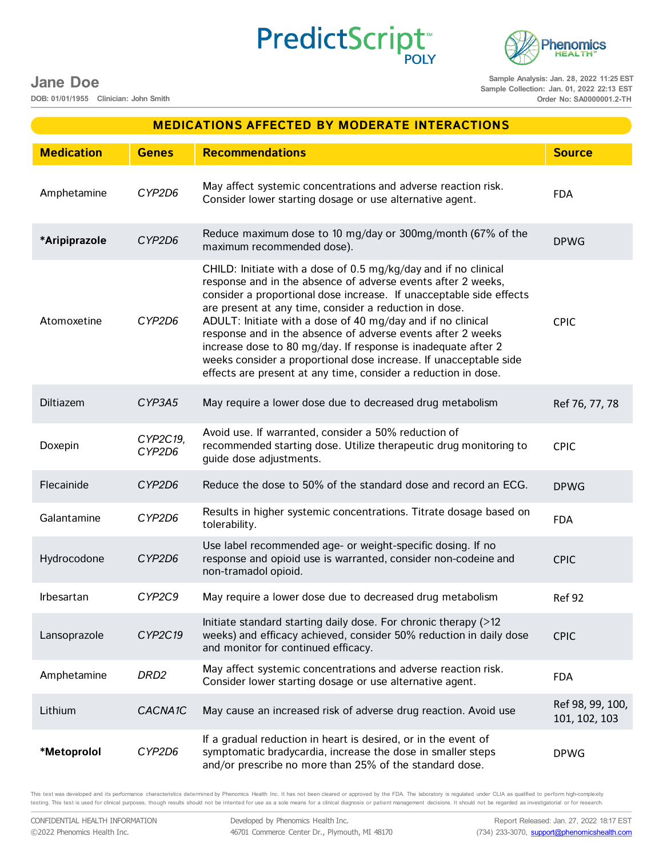**Jane Doe**

**DOB: 01/01/1955 Clinician: John Smith**

**Sample Analysis: Jan. 28, 2022 11:25 EST Sample Collection: Jan. 01, 2022 22:13 EST Order No: SA0000001.2-TH**

| <b>Irbesartan</b>                                              | CYP2C9               | May require a lower dose due to decreased drug metabolism                                                                                                                                                                                                                                                                                                                                                                                                       | <b>Ref 92</b>                                                                           |
|----------------------------------------------------------------|----------------------|-----------------------------------------------------------------------------------------------------------------------------------------------------------------------------------------------------------------------------------------------------------------------------------------------------------------------------------------------------------------------------------------------------------------------------------------------------------------|-----------------------------------------------------------------------------------------|
| Lansoprazole                                                   | CYP2C19              | Initiate standard starting daily dose. For chronic therapy $($ >12<br>weeks) and efficacy achieved, consider 50% reduction in daily dose<br>and monitor for continued efficacy.                                                                                                                                                                                                                                                                                 | <b>CPIC</b>                                                                             |
| Amphetamine                                                    | DRD <sub>2</sub>     | May affect systemic concentrations and adverse reaction risk.<br>Consider lower starting dosage or use alternative agent.                                                                                                                                                                                                                                                                                                                                       | <b>FDA</b>                                                                              |
| Lithium                                                        | CACNA <sub>1</sub> C | May cause an increased risk of adverse drug reaction. Avoid use                                                                                                                                                                                                                                                                                                                                                                                                 | Ref 98, 99, 100,<br>101, 102, 103                                                       |
| *Metoprolol                                                    | CYP2D6               | If a gradual reduction in heart is desired, or in the event of<br>symptomatic bradycardia, increase the dose in smaller steps<br>and/or prescribe no more than 25% of the standard dose.                                                                                                                                                                                                                                                                        | <b>DPWG</b>                                                                             |
|                                                                |                      | This test was developed and its performance characteristics determined by Phenomics Health Inc. It has not been cleared or approved by the FDA. The laboratory is regulated under CLIA as qualified to perform high-complexity<br>testing. This test is used for clinical purposes, though results should not be intented for use as a sole means for a clinical diagnosis or patient management decisions. It should not be regarded as investigatorial or for |                                                                                         |
| CONFIDENTIAL HEALTH INFORMATION<br>©2022 Phenomics Health Inc. |                      | Developed by Phenomics Health Inc.<br>46701 Commerce Center Dr., Plymouth, MI 48170                                                                                                                                                                                                                                                                                                                                                                             | Report Released: Jan. 27, 2022 18:17 EST<br>(734) 233-3070, support@phenomicshealth.com |

| Atomoxetine  | CYP2D6              | consider a proportional dose increase. If unacceptable side effects<br>are present at any time, consider a reduction in dose.<br>ADULT: Initiate with a dose of 40 mg/day and if no clinical<br>response and in the absence of adverse events after 2 weeks<br>increase dose to 80 mg/day. If response is inadequate after 2<br>weeks consider a proportional dose increase. If unacceptable side<br>effects are present at any time, consider a reduction in dose. | <b>CPIC</b>                       |
|--------------|---------------------|---------------------------------------------------------------------------------------------------------------------------------------------------------------------------------------------------------------------------------------------------------------------------------------------------------------------------------------------------------------------------------------------------------------------------------------------------------------------|-----------------------------------|
| Diltiazem    | CYP3A5              | May require a lower dose due to decreased drug metabolism                                                                                                                                                                                                                                                                                                                                                                                                           | Ref 76, 77, 78                    |
| Doxepin      | CYP2C19,<br>CYP2D6  | Avoid use. If warranted, consider a 50% reduction of<br>recommended starting dose. Utilize therapeutic drug monitoring to<br>quide dose adjustments.                                                                                                                                                                                                                                                                                                                | <b>CPIC</b>                       |
| Flecainide   | CYP2D6              | Reduce the dose to 50% of the standard dose and record an ECG.                                                                                                                                                                                                                                                                                                                                                                                                      | <b>DPWG</b>                       |
| Galantamine  | CYP2D6              | Results in higher systemic concentrations. Titrate dosage based on<br>tolerability.                                                                                                                                                                                                                                                                                                                                                                                 | <b>FDA</b>                        |
| Hydrocodone  | CYP2D6              | Use label recommended age- or weight-specific dosing. If no<br>response and opioid use is warranted, consider non-codeine and<br>non-tramadol opioid.                                                                                                                                                                                                                                                                                                               | <b>CPIC</b>                       |
| Irbesartan   | CYP2C9              | May require a lower dose due to decreased drug metabolism                                                                                                                                                                                                                                                                                                                                                                                                           | <b>Ref 92</b>                     |
| Lansoprazole | CYP2C19             | Initiate standard starting daily dose. For chronic therapy (>12<br>weeks) and efficacy achieved, consider 50% reduction in daily dose<br>and monitor for continued efficacy.                                                                                                                                                                                                                                                                                        | <b>CPIC</b>                       |
| Amphetamine  | DRD <sub>2</sub>    | May affect systemic concentrations and adverse reaction risk.<br>Consider lower starting dosage or use alternative agent.                                                                                                                                                                                                                                                                                                                                           | <b>FDA</b>                        |
| Lithium      | CACNA <sub>1C</sub> | May cause an increased risk of adverse drug reaction. Avoid use                                                                                                                                                                                                                                                                                                                                                                                                     | Ref 98, 99, 100,<br>101, 102, 103 |
| *Metoprolol  | CYP2D6              | If a gradual reduction in heart is desired, or in the event of<br>symptomatic bradycardia, increase the dose in smaller steps                                                                                                                                                                                                                                                                                                                                       | <b>DPWG</b>                       |

**Medication Genes Recommendations Source**

**MEDICATIONS AFFECTED BY MODERATE INTERACTIONS**

**PredictScript** 

Consider lower starting dosage or use alternative agent. FDA

maximum recommended dose). Determined the maximum recommended dose).

CHILD: Initiate with a dose of 0.5 mg/kg/day and if no clinical response and in the absence of adverse events after 2 weeks,

Amphetamine *CYP2D6* May affect systemic concentrations and adverse reaction risk.

**\*Aripiprazole** *CYP2D6* Reduce maximum dose to 10 mg/day or 300mg/month (67% of the

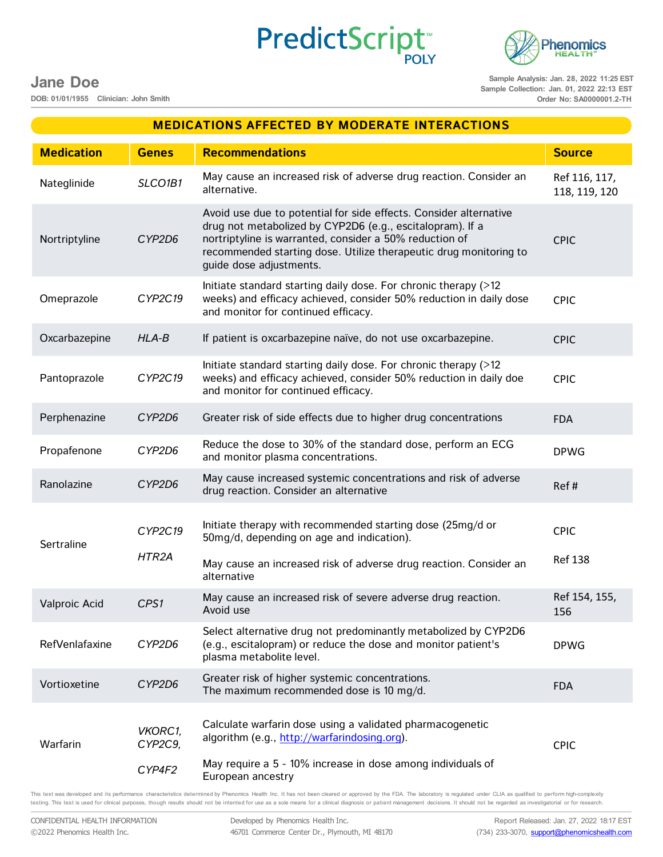PredictScript<sup>\*</sup>



### **Jane Doe**

**DOB: 01/01/1955 Clinician: John Smith**

**Sample Analysis: Jan. 28, 2022 11:25 EST Sample Collection: Jan. 01, 2022 22:13 EST Order No: SA0000001.2-TH**

|                   |                              | <b>MEDICATIONS AFFECTED BY MODERATE INTERACTIONS</b>                                                                                                                                                                                                                                      |                                |
|-------------------|------------------------------|-------------------------------------------------------------------------------------------------------------------------------------------------------------------------------------------------------------------------------------------------------------------------------------------|--------------------------------|
| <b>Medication</b> | <b>Genes</b>                 | <b>Recommendations</b>                                                                                                                                                                                                                                                                    | <b>Source</b>                  |
| Nateglinide       | SLCO1B1                      | May cause an increased risk of adverse drug reaction. Consider an<br>alternative.                                                                                                                                                                                                         | Ref 116, 117,<br>118, 119, 120 |
| Nortriptyline     | CYP2D6                       | Avoid use due to potential for side effects. Consider alternative<br>drug not metabolized by CYP2D6 (e.g., escitalopram). If a<br>nortriptyline is warranted, consider a 50% reduction of<br>recommended starting dose. Utilize therapeutic drug monitoring to<br>guide dose adjustments. | <b>CPIC</b>                    |
| Omeprazole        | CYP2C19                      | Initiate standard starting daily dose. For chronic therapy (>12<br>weeks) and efficacy achieved, consider 50% reduction in daily dose<br>and monitor for continued efficacy.                                                                                                              | <b>CPIC</b>                    |
| Oxcarbazepine     | $HLA-B$                      | If patient is oxcarbazepine naïve, do not use oxcarbazepine.                                                                                                                                                                                                                              | <b>CPIC</b>                    |
| Pantoprazole      | CYP2C19                      | Initiate standard starting daily dose. For chronic therapy (>12<br>weeks) and efficacy achieved, consider 50% reduction in daily doe<br>and monitor for continued efficacy.                                                                                                               | <b>CPIC</b>                    |
| Perphenazine      | CYP2D6                       | Greater risk of side effects due to higher drug concentrations                                                                                                                                                                                                                            | <b>FDA</b>                     |
| Propafenone       | CYP2D6                       | Reduce the dose to 30% of the standard dose, perform an ECG<br>and monitor plasma concentrations.                                                                                                                                                                                         | <b>DPWG</b>                    |
| Ranolazine        | CYP2D6                       | May cause increased systemic concentrations and risk of adverse<br>drug reaction. Consider an alternative                                                                                                                                                                                 | Ref#                           |
| Sertraline        | CYP2C19<br>HTR2A             | Initiate therapy with recommended starting dose (25mg/d or<br>50mg/d, depending on age and indication).<br>May cause an increased risk of adverse drug reaction. Consider an                                                                                                              | <b>CPIC</b><br><b>Ref 138</b>  |
|                   |                              | alternative<br>May cause an increased risk of severe adverse drug reaction.                                                                                                                                                                                                               | Ref 154, 155,                  |
| Valproic Acid     | CPS1                         | Avoid use                                                                                                                                                                                                                                                                                 | 156                            |
| RefVenlafaxine    | CYP2D6                       | Select alternative drug not predominantly metabolized by CYP2D6<br>(e.g., escitalopram) or reduce the dose and monitor patient's<br>plasma metabolite level.                                                                                                                              | <b>DPWG</b>                    |
| Vortioxetine      | CYP2D6                       | Greater risk of higher systemic concentrations.<br>The maximum recommended dose is 10 mg/d.                                                                                                                                                                                               | <b>FDA</b>                     |
| Warfarin          | VKORC1,<br>CYP2C9,<br>CYP4F2 | Calculate warfarin dose using a validated pharmacogenetic<br>algorithm (e.g., http://warfarindosing.org).<br>May require a 5 - 10% increase in dose among individuals of<br>European ancestry                                                                                             | <b>CPIC</b>                    |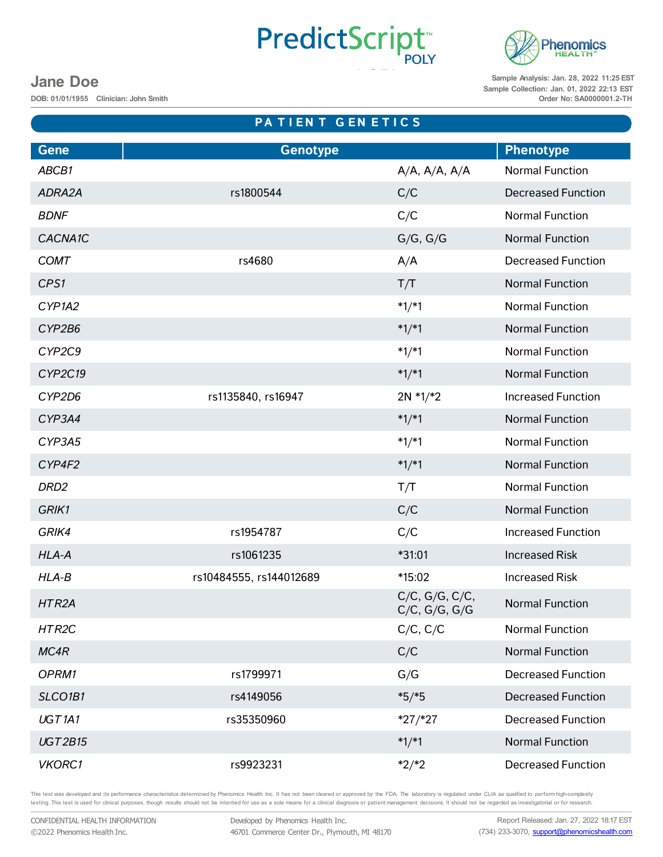## PredictScript

**PA T I E N T G E N E T I C S**



**Sample Analysis: Jan. 28, 2022 11:25 EST Sample Collection: Jan. 01, 2022 22:13 EST Order No: SA0000001.2-TH**

### **Jane Doe**

**DOB: 01/01/1955 Clinician: John Smith**

| <b>Gene</b>        | <b>Genotype</b>         |                                                  | <b>Phenotype</b>          |
|--------------------|-------------------------|--------------------------------------------------|---------------------------|
| ABCB1              |                         | $A/A$ , $A/A$ , $A/A$                            | <b>Normal Function</b>    |
| ADRA2A             | rs1800544               | C/C                                              | <b>Decreased Function</b> |
| <b>BDNF</b>        |                         | C/C                                              | <b>Normal Function</b>    |
| CACNA1C            |                         | G/G, G/G                                         | <b>Normal Function</b>    |
| <b>COMT</b>        | rs4680                  | A/A                                              | <b>Decreased Function</b> |
| CPS1               |                         | T/T                                              | <b>Normal Function</b>    |
| CYP1A2             |                         | $*1/*1$                                          | <b>Normal Function</b>    |
| CYP2B6             |                         | $*1/*1$                                          | <b>Normal Function</b>    |
| CYP2C9             |                         | $*1/*1$                                          | <b>Normal Function</b>    |
| CYP2C19            |                         | $*1/*1$                                          | <b>Normal Function</b>    |
| CYP2D6             | rs1135840, rs16947      | $2N * 1/*2$                                      | <b>Increased Function</b> |
| CYP3A4             |                         | $*1/*1$                                          | <b>Normal Function</b>    |
| CYP3A5             |                         | $*1/*1$                                          | <b>Normal Function</b>    |
| CYP4F2             |                         | $*1/*1$                                          | <b>Normal Function</b>    |
| DRD <sub>2</sub>   |                         | T/T                                              | <b>Normal Function</b>    |
| GRIK1              |                         | C/C                                              | <b>Normal Function</b>    |
| GRIK4              | rs1954787               | C/C                                              | <b>Increased Function</b> |
| HLA-A              | rs1061235               | *31:01                                           | <b>Increased Risk</b>     |
| $HLA-B$            | rs10484555, rs144012689 | *15:02                                           | <b>Increased Risk</b>     |
| HTR <sub>2</sub> A |                         | $C/C$ , $G/G$ , $C/C$ ,<br>$C/C$ , $G/G$ , $G/G$ | <b>Normal Function</b>    |
| HTR2C              |                         | $C/C$ , $C/C$                                    | <b>Normal Function</b>    |
| MC4R               |                         | C/C                                              | <b>Normal Function</b>    |
| OPRM1              | rs1799971               | G/G                                              | <b>Decreased Function</b> |
| SLCO1B1            | rs4149056               | $*5/*5$                                          | <b>Decreased Function</b> |
| UGT <sub>1A1</sub> | rs35350960              | $*27/*27$                                        | <b>Decreased Function</b> |
| <b>UGT2B15</b>     |                         | $*1/*1$                                          | <b>Normal Function</b>    |
| <b>VKORC1</b>      | rs9923231               | $*2/*2$                                          | <b>Decreased Function</b> |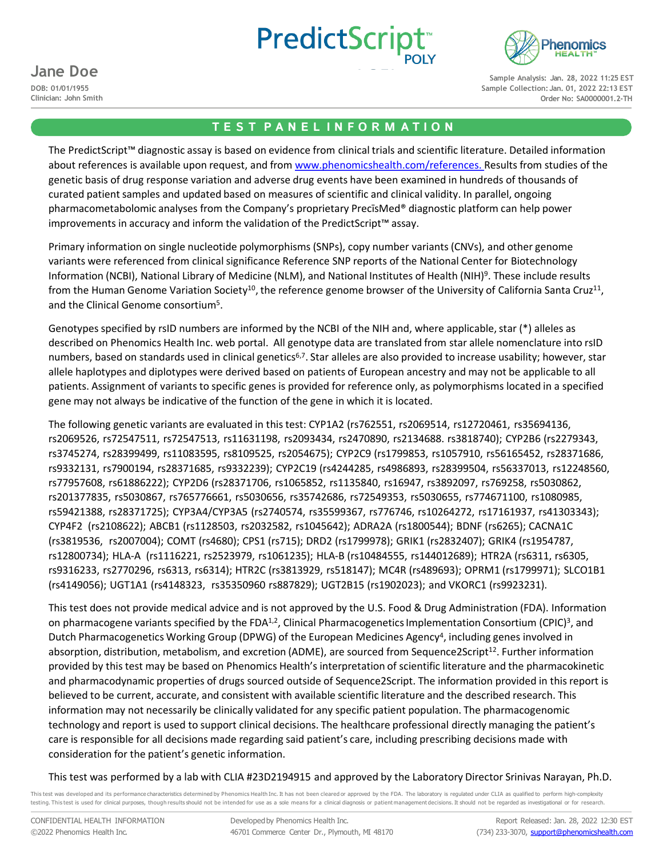



### **Jane Doe**

**DOB: 01/01/1955 Clinician: John Smith**

**Sample Analysis: Jan. 28, 2022 11:25 EST Sample Collection: Jan. 01, 2022 22:13 EST Order No: SA0000001.2-TH**

#### **T E S T P A N E L I N F O R M A T I O N**

The PredictScript™ diagnostic assay is based on evidence from clinical trials and scientific literature. Detailed information about references is available upon request, and from [www.phenomicshealth.com/references.](http://www.phenomicshealth.com/references) Results from studies of the genetic basis of drug response variation and adverse drug events have been examined in hundreds of thousands of curated patient samples and updated based on measures of scientific and clinical validity. In parallel, ongoing pharmacometabolomic analyses from the Company's proprietary PrecīsMed® diagnostic platform can help power improvements in accuracy and inform the validation of the PredictScript™ assay.

Primary information on single nucleotide polymorphisms (SNPs), copy number variants (CNVs), and other genome variants were referenced from clinical significance Reference SNP reports of the National Center for Biotechnology Information (NCBI), National Library of Medicine (NLM), and National Institutes of Health (NIH)9. These include results from the Human Genome Variation Society<sup>10</sup>, the reference genome browser of the University of California Santa Cruz<sup>11</sup>, and the Clinical Genome consortium<sup>5</sup>.

Genotypes specified by rsID numbers are informed by the NCBI of the NIH and, where applicable, star (\*) alleles as described on Phenomics Health Inc. web portal. All genotype data are translated from star allele nomenclature into rsID numbers, based on standards used in clinical genetics<sup>6,7</sup>. Star alleles are also provided to increase usability; however, star allele haplotypes and diplotypes were derived based on patients of European ancestry and may not be applicable to all patients. Assignment of variants to specific genes is provided for reference only, as polymorphisms located in a specified gene may not always be indicative of the function of the gene in which it is located.

The following genetic variants are evaluated in this test: CYP1A2 (rs762551, rs2069514, rs12720461, rs35694136, rs2069526, rs72547511, rs72547513, rs11631198, rs2093434, rs2470890, rs2134688. rs3818740); CYP2B6 (rs2279343, rs3745274, rs28399499, rs11083595, rs8109525, rs2054675); CYP2C9 (rs1799853, rs1057910, rs56165452, rs28371686, rs9332131, rs7900194, rs28371685, rs9332239); CYP2C19 (rs4244285, rs4986893, rs28399504, rs56337013, rs12248560, rs77957608, rs61886222); CYP2D6 (rs28371706, rs1065852, rs1135840, rs16947, rs3892097, rs769258, rs5030862, rs201377835, rs5030867, rs765776661, rs5030656, rs35742686, rs72549353, rs5030655, rs774671100, rs1080985, rs59421388, rs28371725); CYP3A4/CYP3A5 (rs2740574, rs35599367, rs776746, rs10264272, rs17161937, rs41303343); CYP4F2 (rs2108622); ABCB1 (rs1128503, rs2032582, rs1045642); ADRA2A (rs1800544); BDNF (rs6265); CACNA1C (rs3819536, rs2007004); COMT (rs4680); CPS1 (rs715); DRD2 (rs1799978); GRIK1 (rs2832407); GRIK4 (rs1954787, rs12800734); HLA-A (rs1116221, rs2523979, rs1061235); HLA-B (rs10484555, rs144012689); HTR2A (rs6311, rs6305, rs9316233, rs2770296, rs6313, rs6314); HTR2C (rs3813929, rs518147); MC4R (rs489693); OPRM1 (rs1799971); SLCO1B1 (rs4149056); UGT1A1 (rs4148323, rs35350960 rs887829); UGT2B15 (rs1902023); and VKORC1 (rs9923231).

This test does not provide medical advice and is not approved by the U.S. Food & Drug Administration (FDA). Information on pharmacogene variants specified by the FDA $^{1,2}$ , Clinical Pharmacogenetics Implementation Consortium (CPIC)<sup>3</sup>, and Dutch Pharmacogenetics Working Group (DPWG) of the European Medicines Agency<sup>4</sup>, including genes involved in absorption, distribution, metabolism, and excretion (ADME), are sourced from Sequence2Script<sup>12</sup>. Further information provided by this test may be based on Phenomics Health's interpretation of scientific literature and the pharmacokinetic and pharmacodynamic properties of drugs sourced outside of Sequence2Script. The information provided in this report is believed to be current, accurate, and consistent with available scientific literature and the described research. This information may not necessarily be clinically validated for any specific patient population. The pharmacogenomic technology and report is used to support clinical decisions. The healthcare professional directly managing the patient's care is responsible for all decisions made regarding said patient's care, including prescribing decisions made with consideration for the patient's genetic information.

This test was performed by a lab with CLIA #23D2194915 and approved by the Laboratory Director Srinivas Narayan, Ph.D.